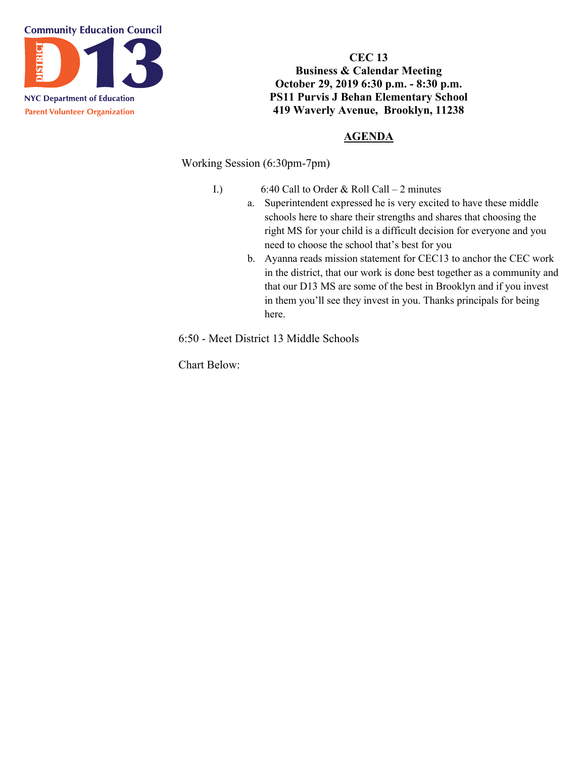

**CEC 13 Business & Calendar Meeting October 29, 2019 6:30 p.m. - 8:30 p.m. PS11 Purvis J Behan Elementary School 419 Waverly Avenue, Brooklyn, 11238**

## **AGENDA**

Working Session (6:30pm-7pm)

- I.) 6:40 Call to Order & Roll Call 2 minutes
	- a. Superintendent expressed he is very excited to have these middle schools here to share their strengths and shares that choosing the right MS for your child is a difficult decision for everyone and you need to choose the school that's best for you
	- b. Ayanna reads mission statement for CEC13 to anchor the CEC work in the district, that our work is done best together as a community and that our D13 MS are some of the best in Brooklyn and if you invest in them you'll see they invest in you. Thanks principals for being here.

6:50 - Meet District 13 Middle Schools

Chart Below: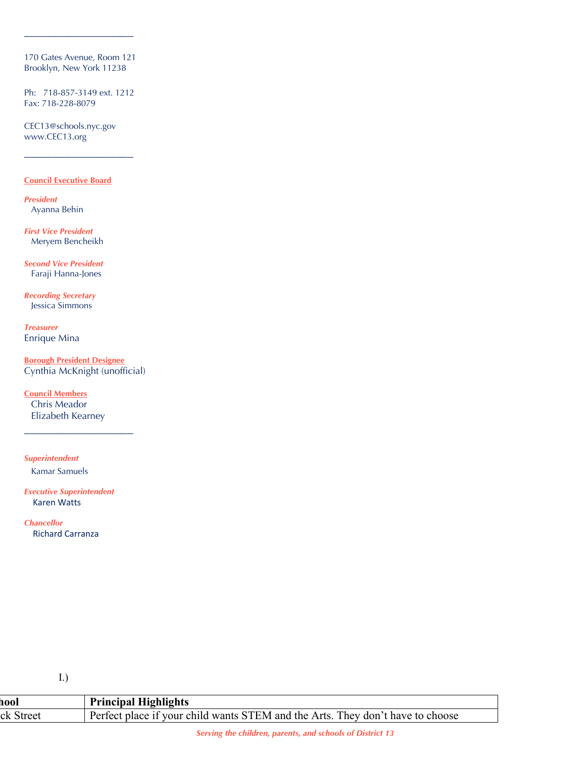170 Gates Avenue, Room 121 Brooklyn, New York 11238

\_\_\_\_\_\_\_\_\_\_\_\_\_\_\_\_\_\_\_

Ph: 718-857-3149 ext. 1212 Fax: 718-228-8079

\_\_\_\_\_\_\_\_\_\_\_\_\_\_\_\_\_\_\_

CEC13@schools.nyc.gov www.CEC13.org

#### **Council Executive Board**

*President* Ayanna Behin

*First Vice President* Meryem Bencheikh

*Second Vice President* Faraji Hanna-Jones

*Recording Secretary* Jessica Simmons

*Treasurer* Enrique Mina

**Borough President Designee** Cynthia McKnight (unofficial)

**Council Members** Chris Meador Elizabeth Kearney

\_\_\_\_\_\_\_\_\_\_\_\_\_\_\_\_\_\_\_

*Superintendent* Kamar Samuels

*Executive Superintendent* Karen Watts

*Chancellor* Richard Carranza

I.)

| hool      | <b>Principal Highlights</b>                                                    |
|-----------|--------------------------------------------------------------------------------|
| ck Street | Perfect place if your child wants STEM and the Arts. They don't have to choose |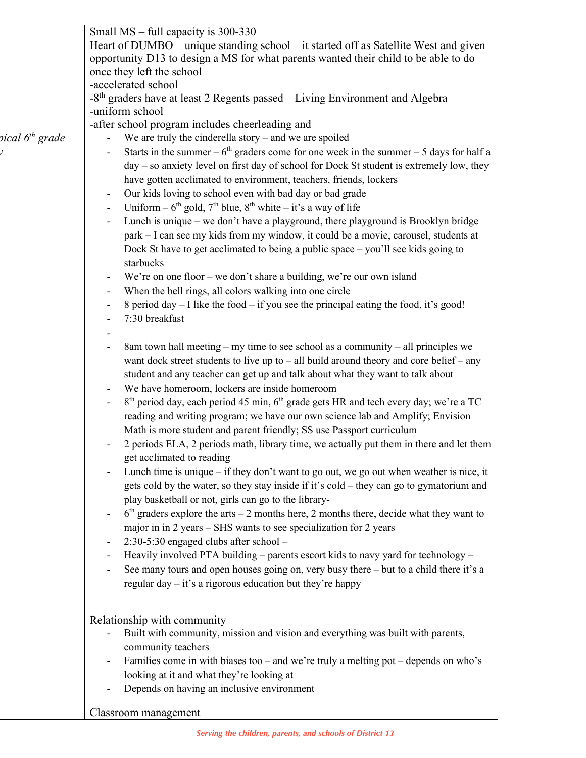|                             | Small MS – full capacity is 300-330                                                                                  |
|-----------------------------|----------------------------------------------------------------------------------------------------------------------|
|                             | Heart of DUMBO - unique standing school - it started off as Satellite West and given                                 |
|                             | opportunity D13 to design a MS for what parents wanted their child to be able to do                                  |
|                             | once they left the school                                                                                            |
|                             | -accelerated school                                                                                                  |
|                             | -8 <sup>th</sup> graders have at least 2 Regents passed - Living Environment and Algebra                             |
|                             | -uniform school                                                                                                      |
|                             | -after school program includes cheerleading and                                                                      |
| pical 6 <sup>th</sup> grade | We are truly the cinderella story $-$ and we are spoiled                                                             |
|                             | Starts in the summer – $6th$ graders come for one week in the summer – 5 days for half a                             |
|                             | day - so anxiety level on first day of school for Dock St student is extremely low, they                             |
|                             | have gotten acclimated to environment, teachers, friends, lockers                                                    |
|                             | Our kids loving to school even with bad day or bad grade<br>$\overline{\phantom{a}}$                                 |
|                             | Uniform – $6^{th}$ gold, $7^{th}$ blue, $8^{th}$ white – it's a way of life<br>$\overline{\phantom{a}}$              |
|                             | Lunch is unique – we don't have a playground, there playground is Brooklyn bridge                                    |
|                             | park - I can see my kids from my window, it could be a movie, carousel, students at                                  |
|                             | Dock St have to get acclimated to being a public space – you'll see kids going to                                    |
|                             | starbucks                                                                                                            |
|                             | We're on one floor – we don't share a building, we're our own island                                                 |
|                             | When the bell rings, all colors walking into one circle<br>$\overline{\phantom{a}}$                                  |
|                             | 8 period day - I like the food - if you see the principal eating the food, it's good!                                |
|                             | 7:30 breakfast                                                                                                       |
|                             |                                                                                                                      |
|                             | 8am town hall meeting $-$ my time to see school as a community $-$ all principles we                                 |
|                             | want dock street students to live up to $-$ all build around theory and core belief $-$ any                          |
|                             | student and any teacher can get up and talk about what they want to talk about                                       |
|                             | We have homeroom, lockers are inside homeroom                                                                        |
|                             | $8th$ period day, each period 45 min, $6th$ grade gets HR and tech every day; we're a TC<br>$\overline{\phantom{a}}$ |
|                             | reading and writing program; we have our own science lab and Amplify; Envision                                       |
|                             | Math is more student and parent friendly; SS use Passport curriculum                                                 |
|                             | 2 periods ELA, 2 periods math, library time, we actually put them in there and let them                              |
|                             | get acclimated to reading                                                                                            |
|                             | Lunch time is unique $-$ if they don't want to go out, we go out when weather is nice, it                            |
|                             | gets cold by the water, so they stay inside if it's cold – they can go to gymatorium and                             |
|                             | play basketball or not, girls can go to the library-                                                                 |
|                             | $6th$ graders explore the arts – 2 months here, 2 months there, decide what they want to                             |
|                             | major in in 2 years – SHS wants to see specialization for 2 years                                                    |
|                             | 2:30-5:30 engaged clubs after school -                                                                               |
|                             | Heavily involved PTA building – parents escort kids to navy yard for technology –                                    |
|                             | See many tours and open houses going on, very busy there - but to a child there it's a                               |
|                             | regular day $-$ it's a rigorous education but they're happy                                                          |
|                             |                                                                                                                      |
|                             | Relationship with community                                                                                          |
|                             | Built with community, mission and vision and everything was built with parents,                                      |
|                             | community teachers                                                                                                   |
|                             | Families come in with biases too - and we're truly a melting pot - depends on who's                                  |
|                             | looking at it and what they're looking at                                                                            |
|                             | Depends on having an inclusive environment                                                                           |
|                             |                                                                                                                      |
|                             | Classroom management                                                                                                 |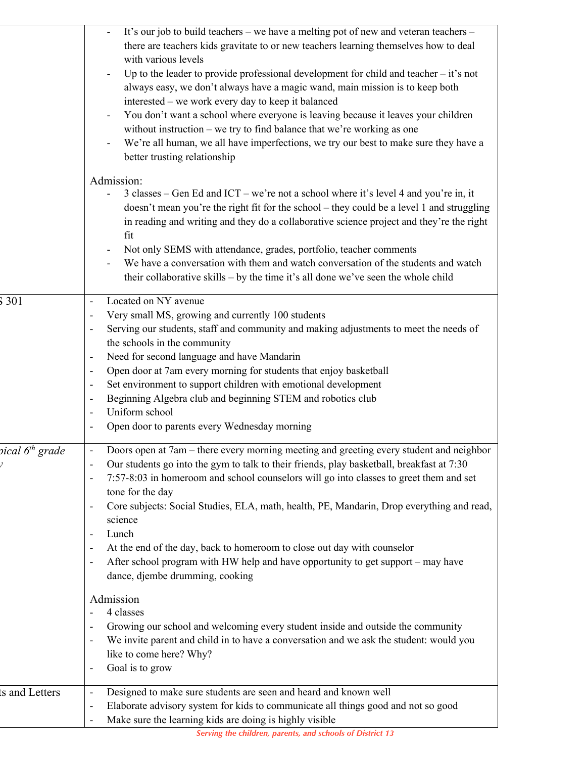|                             | It's our job to build teachers - we have a melting pot of new and veteran teachers -<br>there are teachers kids gravitate to or new teachers learning themselves how to deal<br>with various levels<br>Up to the leader to provide professional development for child and teacher $-$ it's not<br>always easy, we don't always have a magic wand, main mission is to keep both<br>interested - we work every day to keep it balanced<br>You don't want a school where everyone is leaving because it leaves your children<br>without instruction – we try to find balance that we're working as one<br>We're all human, we all have imperfections, we try our best to make sure they have a<br>better trusting relationship<br>Admission:<br>3 classes – Gen Ed and ICT – we're not a school where it's level 4 and you're in, it<br>doesn't mean you're the right fit for the school - they could be a level 1 and struggling<br>in reading and writing and they do a collaborative science project and they're the right<br>fit<br>Not only SEMS with attendance, grades, portfolio, teacher comments<br>We have a conversation with them and watch conversation of the students and watch<br>their collaborative skills - by the time it's all done we've seen the whole child |
|-----------------------------|-----------------------------------------------------------------------------------------------------------------------------------------------------------------------------------------------------------------------------------------------------------------------------------------------------------------------------------------------------------------------------------------------------------------------------------------------------------------------------------------------------------------------------------------------------------------------------------------------------------------------------------------------------------------------------------------------------------------------------------------------------------------------------------------------------------------------------------------------------------------------------------------------------------------------------------------------------------------------------------------------------------------------------------------------------------------------------------------------------------------------------------------------------------------------------------------------------------------------------------------------------------------------------------|
| 301                         | Located on NY avenue<br>$\qquad \qquad \blacksquare$<br>Very small MS, growing and currently 100 students<br>Serving our students, staff and community and making adjustments to meet the needs of<br>the schools in the community<br>Need for second language and have Mandarin<br>Open door at 7am every morning for students that enjoy basketball<br>$\overline{\phantom{a}}$<br>Set environment to support children with emotional development<br>Beginning Algebra club and beginning STEM and robotics club<br>$\qquad \qquad \blacksquare$<br>Uniform school<br>Open door to parents every Wednesday morning                                                                                                                                                                                                                                                                                                                                                                                                                                                                                                                                                                                                                                                              |
| pical 6 <sup>th</sup> grade | Doors open at 7am – there every morning meeting and greeting every student and neighbor<br>Our students go into the gym to talk to their friends, play basketball, breakfast at 7:30<br>7:57-8:03 in homeroom and school counselors will go into classes to greet them and set<br>tone for the day<br>Core subjects: Social Studies, ELA, math, health, PE, Mandarin, Drop everything and read,<br>science<br>Lunch<br>At the end of the day, back to homeroom to close out day with counselor<br>After school program with HW help and have opportunity to get support – may have<br>dance, djembe drumming, cooking                                                                                                                                                                                                                                                                                                                                                                                                                                                                                                                                                                                                                                                             |
|                             | Admission<br>4 classes<br>Growing our school and welcoming every student inside and outside the community<br>We invite parent and child in to have a conversation and we ask the student: would you<br>like to come here? Why?<br>Goal is to grow<br>$\overline{a}$                                                                                                                                                                                                                                                                                                                                                                                                                                                                                                                                                                                                                                                                                                                                                                                                                                                                                                                                                                                                               |
| ts and Letters              | Designed to make sure students are seen and heard and known well<br>$\qquad \qquad \blacksquare$<br>Elaborate advisory system for kids to communicate all things good and not so good<br>$\qquad \qquad \blacksquare$<br>Make sure the learning kids are doing is highly visible                                                                                                                                                                                                                                                                                                                                                                                                                                                                                                                                                                                                                                                                                                                                                                                                                                                                                                                                                                                                  |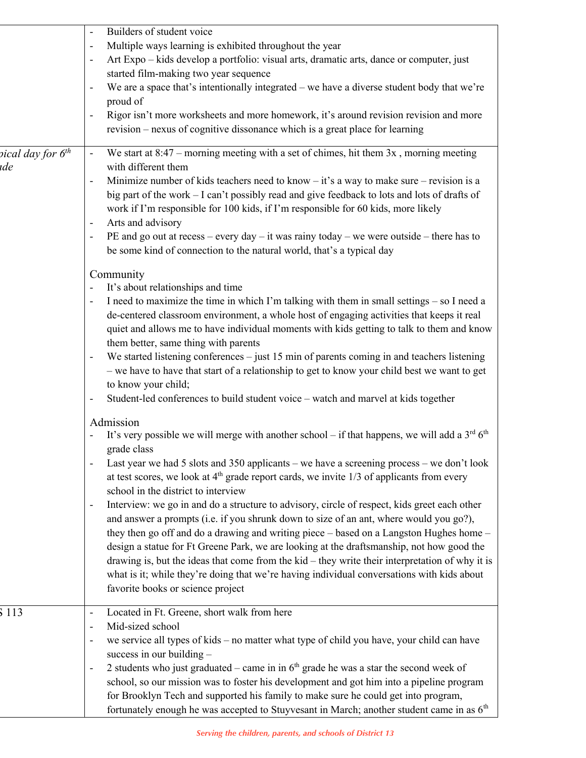|                               | Builders of student voice                                                                                                 |
|-------------------------------|---------------------------------------------------------------------------------------------------------------------------|
|                               | Multiple ways learning is exhibited throughout the year                                                                   |
|                               | Art Expo - kids develop a portfolio: visual arts, dramatic arts, dance or computer, just                                  |
|                               | started film-making two year sequence                                                                                     |
|                               | We are a space that's intentionally integrated – we have a diverse student body that we're                                |
|                               | proud of                                                                                                                  |
|                               | Rigor isn't more worksheets and more homework, it's around revision revision and more                                     |
|                               | revision – nexus of cognitive dissonance which is a great place for learning                                              |
| pical day for 6 <sup>th</sup> | We start at $8:47$ – morning meeting with a set of chimes, hit them $3x$ , morning meeting                                |
| ide                           | with different them                                                                                                       |
|                               | Minimize number of kids teachers need to know – it's a way to make sure – revision is a<br>$\qquad \qquad \blacksquare$   |
|                               | big part of the work - I can't possibly read and give feedback to lots and lots of drafts of                              |
|                               | work if I'm responsible for 100 kids, if I'm responsible for 60 kids, more likely                                         |
|                               | Arts and advisory<br>$\overline{\phantom{a}}$                                                                             |
|                               | PE and go out at recess – every day – it was rainy today – we were outside – there has to                                 |
|                               | be some kind of connection to the natural world, that's a typical day                                                     |
|                               |                                                                                                                           |
|                               | Community<br>It's about relationships and time                                                                            |
|                               | I need to maximize the time in which I'm talking with them in small settings – so I need a                                |
|                               | de-centered classroom environment, a whole host of engaging activities that keeps it real                                 |
|                               | quiet and allows me to have individual moments with kids getting to talk to them and know                                 |
|                               | them better, same thing with parents                                                                                      |
|                               | We started listening conferences $-$ just 15 min of parents coming in and teachers listening                              |
|                               | - we have to have that start of a relationship to get to know your child best we want to get                              |
|                               | to know your child;                                                                                                       |
|                               | Student-led conferences to build student voice - watch and marvel at kids together                                        |
|                               |                                                                                                                           |
|                               | Admission<br>It's very possible we will merge with another school – if that happens, we will add a $3rd 6th$              |
|                               | grade class                                                                                                               |
|                               | Last year we had 5 slots and 350 applicants – we have a screening process – we don't look                                 |
|                               | at test scores, we look at $4th$ grade report cards, we invite 1/3 of applicants from every                               |
|                               | school in the district to interview                                                                                       |
|                               | Interview: we go in and do a structure to advisory, circle of respect, kids greet each other<br>$\overline{\phantom{a}}$  |
|                               | and answer a prompts (i.e. if you shrunk down to size of an ant, where would you go?),                                    |
|                               | they then go off and do a drawing and writing piece - based on a Langston Hughes home -                                   |
|                               | design a statue for Ft Greene Park, we are looking at the draftsmanship, not how good the                                 |
|                               | drawing is, but the ideas that come from the $kid - they$ write their interpretation of why it is                         |
|                               | what is it; while they're doing that we're having individual conversations with kids about                                |
|                               | favorite books or science project                                                                                         |
|                               |                                                                                                                           |
| 5 1 1 3                       | Located in Ft. Greene, short walk from here<br>$\overline{\phantom{a}}$                                                   |
|                               | Mid-sized school<br>$\overline{\phantom{a}}$                                                                              |
|                               | we service all types of kids - no matter what type of child you have, your child can have<br>$\qquad \qquad \blacksquare$ |
|                               | success in our building $-$                                                                                               |
|                               | 2 students who just graduated – came in in $6th$ grade he was a star the second week of                                   |
|                               | school, so our mission was to foster his development and got him into a pipeline program                                  |
|                               | for Brooklyn Tech and supported his family to make sure he could get into program,                                        |
|                               | fortunately enough he was accepted to Stuyvesant in March; another student came in as $6th$                               |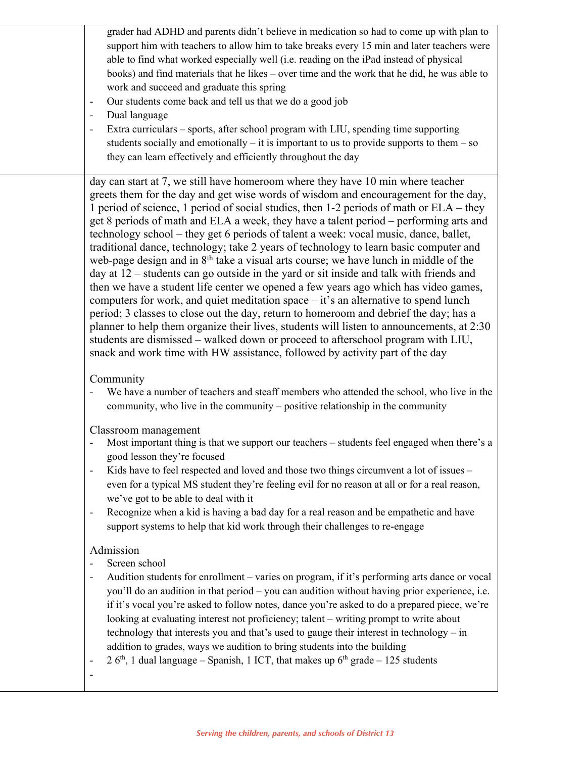grader had ADHD and parents didn't believe in medication so had to come up with plan to support him with teachers to allow him to take breaks every 15 min and later teachers were able to find what worked especially well (i.e. reading on the iPad instead of physical books) and find materials that he likes – over time and the work that he did, he was able to work and succeed and graduate this spring

- Our students come back and tell us that we do a good job
- Dual language
- Extra curriculars sports, after school program with LIU, spending time supporting students socially and emotionally  $-$  it is important to us to provide supports to them  $-$  so they can learn effectively and efficiently throughout the day

day can start at 7, we still have homeroom where they have 10 min where teacher greets them for the day and get wise words of wisdom and encouragement for the day, 1 period of science, 1 period of social studies, then 1-2 periods of math or ELA – they get 8 periods of math and ELA a week, they have a talent period – performing arts and technology school – they get 6 periods of talent a week: vocal music, dance, ballet, traditional dance, technology; take 2 years of technology to learn basic computer and web-page design and in  $8<sup>th</sup>$  take a visual arts course; we have lunch in middle of the day at 12 – students can go outside in the yard or sit inside and talk with friends and then we have a student life center we opened a few years ago which has video games, computers for work, and quiet meditation space – it's an alternative to spend lunch period; 3 classes to close out the day, return to homeroom and debrief the day; has a planner to help them organize their lives, students will listen to announcements, at 2:30 students are dismissed – walked down or proceed to afterschool program with LIU, snack and work time with HW assistance, followed by activity part of the day

### Community

We have a number of teachers and steaff members who attended the school, who live in the community, who live in the community – positive relationship in the community

Classroom management

- Most important thing is that we support our teachers students feel engaged when there's a good lesson they're focused
- Kids have to feel respected and loved and those two things circumvent a lot of issues even for a typical MS student they're feeling evil for no reason at all or for a real reason, we've got to be able to deal with it
- Recognize when a kid is having a bad day for a real reason and be empathetic and have support systems to help that kid work through their challenges to re-engage

# Admission

- Screen school
- Audition students for enrollment varies on program, if it's performing arts dance or vocal you'll do an audition in that period – you can audition without having prior experience, i.e. if it's vocal you're asked to follow notes, dance you're asked to do a prepared piece, we're looking at evaluating interest not proficiency; talent – writing prompt to write about technology that interests you and that's used to gauge their interest in technology – in addition to grades, ways we audition to bring students into the building
- 2  $6<sup>th</sup>$ , 1 dual language Spanish, 1 ICT, that makes up  $6<sup>th</sup>$  grade 125 students

-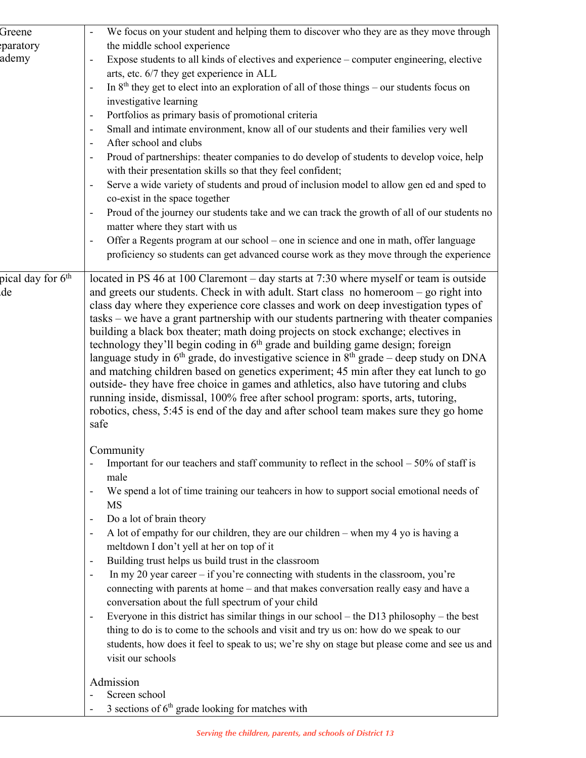| Greene                        | We focus on your student and helping them to discover who they are as they move through                                                                                         |
|-------------------------------|---------------------------------------------------------------------------------------------------------------------------------------------------------------------------------|
| paratory                      | the middle school experience                                                                                                                                                    |
| ademy                         | Expose students to all kinds of electives and experience - computer engineering, elective                                                                                       |
|                               | arts, etc. 6/7 they get experience in ALL                                                                                                                                       |
|                               | In $8th$ they get to elect into an exploration of all of those things – our students focus on                                                                                   |
|                               | investigative learning                                                                                                                                                          |
|                               | Portfolios as primary basis of promotional criteria<br>$\qquad \qquad \blacksquare$                                                                                             |
|                               | Small and intimate environment, know all of our students and their families very well                                                                                           |
|                               | After school and clubs                                                                                                                                                          |
|                               | Proud of partnerships: theater companies to do develop of students to develop voice, help                                                                                       |
|                               | with their presentation skills so that they feel confident;                                                                                                                     |
|                               | Serve a wide variety of students and proud of inclusion model to allow gen ed and sped to<br>$\qquad \qquad \blacksquare$                                                       |
|                               | co-exist in the space together                                                                                                                                                  |
|                               | Proud of the journey our students take and we can track the growth of all of our students no<br>$\qquad \qquad \blacksquare$                                                    |
|                               | matter where they start with us                                                                                                                                                 |
|                               | Offer a Regents program at our school – one in science and one in math, offer language<br>$\qquad \qquad \blacksquare$                                                          |
|                               | proficiency so students can get advanced course work as they move through the experience                                                                                        |
|                               |                                                                                                                                                                                 |
| pical day for 6 <sup>th</sup> | located in PS 46 at 100 Claremont - day starts at 7:30 where myself or team is outside                                                                                          |
| de                            | and greets our students. Check in with adult. Start class no homeroom – go right into                                                                                           |
|                               | class day where they experience core classes and work on deep investigation types of                                                                                            |
|                               | tasks – we have a grant partnership with our students partnering with theater companies                                                                                         |
|                               | building a black box theater; math doing projects on stock exchange; electives in<br>technology they'll begin coding in 6 <sup>th</sup> grade and building game design; foreign |
|                               | language study in $6th$ grade, do investigative science in $8th$ grade – deep study on DNA                                                                                      |
|                               | and matching children based on genetics experiment; 45 min after they eat lunch to go                                                                                           |
|                               | outside- they have free choice in games and athletics, also have tutoring and clubs                                                                                             |
|                               | running inside, dismissal, 100% free after school program: sports, arts, tutoring,                                                                                              |
|                               | robotics, chess, 5:45 is end of the day and after school team makes sure they go home                                                                                           |
|                               | safe                                                                                                                                                                            |
|                               |                                                                                                                                                                                 |
|                               | Community                                                                                                                                                                       |
|                               | Important for our teachers and staff community to reflect in the school $-50\%$ of staff is                                                                                     |
|                               | male                                                                                                                                                                            |
|                               | We spend a lot of time training our teahcers in how to support social emotional needs of                                                                                        |
|                               | MS                                                                                                                                                                              |
|                               | Do a lot of brain theory                                                                                                                                                        |
|                               | A lot of empathy for our children, they are our children – when my 4 yo is having a<br>$\qquad \qquad \blacksquare$                                                             |
|                               | meltdown I don't yell at her on top of it                                                                                                                                       |
|                               | Building trust helps us build trust in the classroom<br>$\overline{\phantom{a}}$                                                                                                |
|                               | In my 20 year career $-$ if you're connecting with students in the classroom, you're<br>$\overline{\phantom{a}}$                                                                |
|                               | connecting with parents at home - and that makes conversation really easy and have a                                                                                            |
|                               | conversation about the full spectrum of your child                                                                                                                              |
|                               | Everyone in this district has similar things in our school – the D13 philosophy – the best<br>$\qquad \qquad \blacksquare$                                                      |
|                               | thing to do is to come to the schools and visit and try us on: how do we speak to our                                                                                           |
|                               | students, how does it feel to speak to us; we're shy on stage but please come and see us and                                                                                    |
|                               | visit our schools                                                                                                                                                               |
|                               | Admission                                                                                                                                                                       |
|                               | Screen school                                                                                                                                                                   |
|                               | 3 sections of $6th$ grade looking for matches with                                                                                                                              |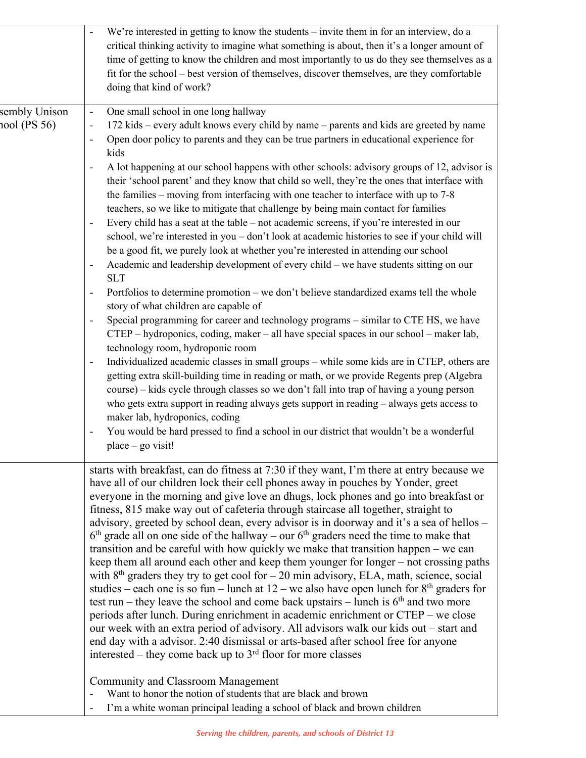|                               | We're interested in getting to know the students – invite them in for an interview, do a<br>critical thinking activity to imagine what something is about, then it's a longer amount of<br>time of getting to know the children and most importantly to us do they see themselves as a<br>fit for the school – best version of themselves, discover themselves, are they comfortable<br>doing that kind of work?                                                                                                                                                                                                                                                                                                                                                                                                                                                                                                                                                                                                                                                                                                                                                                                                                                                                                                                                                                                                                                                                                                                                                                                                                                                                                                                                                                                                                                                                                                                                                                                                                                                                                        |
|-------------------------------|---------------------------------------------------------------------------------------------------------------------------------------------------------------------------------------------------------------------------------------------------------------------------------------------------------------------------------------------------------------------------------------------------------------------------------------------------------------------------------------------------------------------------------------------------------------------------------------------------------------------------------------------------------------------------------------------------------------------------------------------------------------------------------------------------------------------------------------------------------------------------------------------------------------------------------------------------------------------------------------------------------------------------------------------------------------------------------------------------------------------------------------------------------------------------------------------------------------------------------------------------------------------------------------------------------------------------------------------------------------------------------------------------------------------------------------------------------------------------------------------------------------------------------------------------------------------------------------------------------------------------------------------------------------------------------------------------------------------------------------------------------------------------------------------------------------------------------------------------------------------------------------------------------------------------------------------------------------------------------------------------------------------------------------------------------------------------------------------------------|
| sembly Unison<br>100l (PS 56) | One small school in one long hallway<br>$\overline{\phantom{a}}$<br>172 kids – every adult knows every child by name – parents and kids are greeted by name<br>$\overline{\phantom{a}}$<br>Open door policy to parents and they can be true partners in educational experience for<br>kids<br>A lot happening at our school happens with other schools: advisory groups of 12, advisor is<br>their 'school parent' and they know that child so well, they're the ones that interface with<br>the families – moving from interfacing with one teacher to interface with up to 7-8<br>teachers, so we like to mitigate that challenge by being main contact for families<br>Every child has a seat at the table - not academic screens, if you're interested in our<br>$\overline{\phantom{a}}$<br>school, we're interested in you - don't look at academic histories to see if your child will<br>be a good fit, we purely look at whether you're interested in attending our school<br>Academic and leadership development of every child - we have students sitting on our<br>$\overline{\phantom{a}}$<br><b>SLT</b><br>Portfolios to determine promotion – we don't believe standardized exams tell the whole<br>$\overline{\phantom{a}}$<br>story of what children are capable of<br>Special programming for career and technology programs - similar to CTE HS, we have<br>$\overline{\phantom{a}}$<br>CTEP - hydroponics, coding, maker - all have special spaces in our school - maker lab,<br>technology room, hydroponic room<br>Individualized academic classes in small groups - while some kids are in CTEP, others are<br>$\overline{\phantom{a}}$<br>getting extra skill-building time in reading or math, or we provide Regents prep (Algebra<br>course) – kids cycle through classes so we don't fall into trap of having a young person<br>who gets extra support in reading always gets support in reading - always gets access to<br>maker lab, hydroponics, coding<br>You would be hard pressed to find a school in our district that wouldn't be a wonderful<br>$place - go visit!$ |
|                               | starts with breakfast, can do fitness at 7:30 if they want, I'm there at entry because we<br>have all of our children lock their cell phones away in pouches by Yonder, greet<br>everyone in the morning and give love an dhugs, lock phones and go into breakfast or<br>fitness, 815 make way out of cafeteria through staircase all together, straight to<br>advisory, greeted by school dean, every advisor is in doorway and it's a sea of hellos -<br>$6th$ grade all on one side of the hallway – our $6th$ graders need the time to make that<br>transition and be careful with how quickly we make that transition happen – we can<br>keep them all around each other and keep them younger for longer – not crossing paths<br>with $8th$ graders they try to get cool for $-20$ min advisory, ELA, math, science, social<br>studies – each one is so fun – lunch at $12$ – we also have open lunch for $8th$ graders for<br>test run – they leave the school and come back upstairs – lunch is $6th$ and two more<br>periods after lunch. During enrichment in academic enrichment or CTEP – we close<br>our week with an extra period of advisory. All advisors walk our kids out - start and<br>end day with a advisor. 2:40 dismissal or arts-based after school free for anyone<br>interested – they come back up to $3rd$ floor for more classes<br><b>Community and Classroom Management</b><br>Want to honor the notion of students that are black and brown<br>I'm a white woman principal leading a school of black and brown children                                                                                                                                                                                                                                                                                                                                                                                                                                                                                                                                                |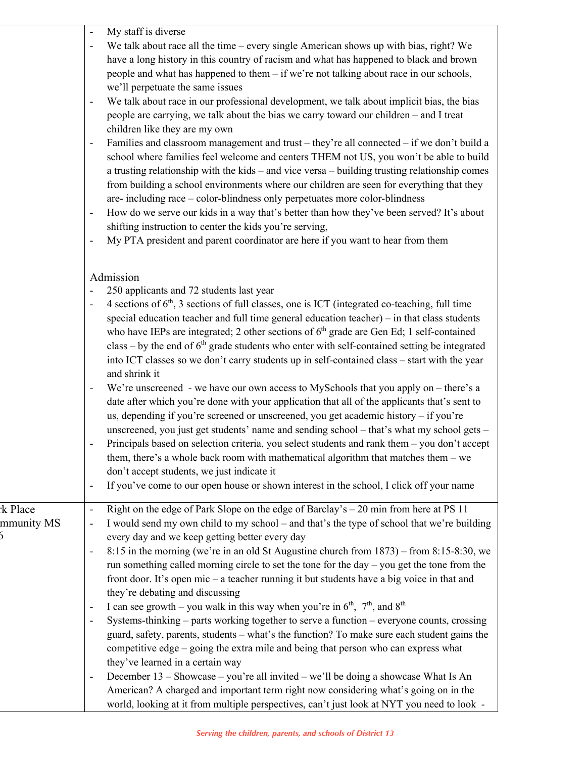|                                    | My staff is diverse<br>We talk about race all the time – every single American shows up with bias, right? We<br>have a long history in this country of racism and what has happened to black and brown<br>people and what has happened to them - if we're not talking about race in our schools,<br>we'll perpetuate the same issues<br>We talk about race in our professional development, we talk about implicit bias, the bias<br>people are carrying, we talk about the bias we carry toward our children - and I treat<br>children like they are my own<br>Families and classroom management and trust – they're all connected – if we don't build a<br>school where families feel welcome and centers THEM not US, you won't be able to build<br>a trusting relationship with the kids - and vice versa - building trusting relationship comes<br>from building a school environments where our children are seen for everything that they<br>are-including race - color-blindness only perpetuates more color-blindness<br>How do we serve our kids in a way that's better than how they've been served? It's about<br>$\qquad \qquad \blacksquare$<br>shifting instruction to center the kids you're serving,<br>My PTA president and parent coordinator are here if you want to hear from them                              |
|------------------------------------|--------------------------------------------------------------------------------------------------------------------------------------------------------------------------------------------------------------------------------------------------------------------------------------------------------------------------------------------------------------------------------------------------------------------------------------------------------------------------------------------------------------------------------------------------------------------------------------------------------------------------------------------------------------------------------------------------------------------------------------------------------------------------------------------------------------------------------------------------------------------------------------------------------------------------------------------------------------------------------------------------------------------------------------------------------------------------------------------------------------------------------------------------------------------------------------------------------------------------------------------------------------------------------------------------------------------------------------|
|                                    | Admission<br>250 applicants and 72 students last year<br>4 sections of $6th$ , 3 sections of full classes, one is ICT (integrated co-teaching, full time<br>special education teacher and full time general education teacher) $-$ in that class students<br>who have IEPs are integrated; 2 other sections of 6 <sup>th</sup> grade are Gen Ed; 1 self-contained<br>class – by the end of $6th$ grade students who enter with self-contained setting be integrated<br>into ICT classes so we don't carry students up in self-contained class - start with the year<br>and shrink it<br>We're unscreened - we have our own access to MySchools that you apply on $-$ there's a<br>date after which you're done with your application that all of the applicants that's sent to<br>us, depending if you're screened or unscreened, you get academic history - if you're<br>unscreened, you just get students' name and sending school - that's what my school gets -<br>Principals based on selection criteria, you select students and rank them - you don't accept<br>them, there's a whole back room with mathematical algorithm that matches them $-$ we<br>don't accept students, we just indicate it<br>If you've come to our open house or shown interest in the school, I click off your name<br>$\qquad \qquad \blacksquare$ |
| k Place <sup>.</sup><br>mmunity MS | Right on the edge of Park Slope on the edge of Barclay's - 20 min from here at PS 11<br>$\qquad \qquad -$<br>I would send my own child to my school - and that's the type of school that we're building<br>$\blacksquare$<br>every day and we keep getting better every day<br>8:15 in the morning (we're in an old St Augustine church from 1873) – from 8:15-8:30, we<br>$\qquad \qquad \blacksquare$<br>run something called morning circle to set the tone for the day $-$ you get the tone from the<br>front door. It's open mic - a teacher running it but students have a big voice in that and<br>they're debating and discussing<br>I can see growth – you walk in this way when you're in $6th$ , $7th$ , and $8th$<br>Systems-thinking – parts working together to serve a function – everyone counts, crossing<br>guard, safety, parents, students - what's the function? To make sure each student gains the<br>competitive edge – going the extra mile and being that person who can express what<br>they've learned in a certain way<br>December 13 – Showcase – you're all invited – we'll be doing a showcase What Is An<br>American? A charged and important term right now considering what's going on in the<br>world, looking at it from multiple perspectives, can't just look at NYT you need to look -       |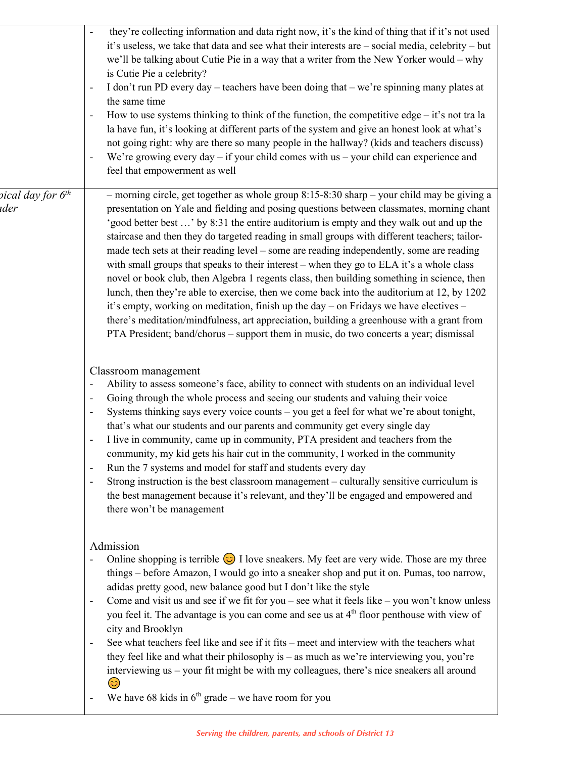|                                       | they're collecting information and data right now, it's the kind of thing that if it's not used<br>it's useless, we take that data and see what their interests are - social media, celebrity - but<br>we'll be talking about Cutie Pie in a way that a writer from the New Yorker would – why<br>is Cutie Pie a celebrity?<br>I don't run PD every day – teachers have been doing that – we're spinning many plates at<br>$\overline{\phantom{a}}$<br>the same time<br>How to use systems thinking to think of the function, the competitive edge $-$ it's not tra la<br>$\overline{\phantom{a}}$<br>la have fun, it's looking at different parts of the system and give an honest look at what's<br>not going right: why are there so many people in the hallway? (kids and teachers discuss)<br>We're growing every day $-$ if your child comes with us $-$ your child can experience and<br>feel that empowerment as well                                                                                                                          |
|---------------------------------------|--------------------------------------------------------------------------------------------------------------------------------------------------------------------------------------------------------------------------------------------------------------------------------------------------------------------------------------------------------------------------------------------------------------------------------------------------------------------------------------------------------------------------------------------------------------------------------------------------------------------------------------------------------------------------------------------------------------------------------------------------------------------------------------------------------------------------------------------------------------------------------------------------------------------------------------------------------------------------------------------------------------------------------------------------------|
| pical day for 6 <sup>th</sup><br>ıder | - morning circle, get together as whole group $8:15-8:30$ sharp - your child may be giving a<br>presentation on Yale and fielding and posing questions between classmates, morning chant<br>'good better best ' by 8:31 the entire auditorium is empty and they walk out and up the<br>staircase and then they do targeted reading in small groups with different teachers; tailor-<br>made tech sets at their reading level – some are reading independently, some are reading<br>with small groups that speaks to their interest – when they go to ELA it's a whole class<br>novel or book club, then Algebra 1 regents class, then building something in science, then<br>lunch, then they're able to exercise, then we come back into the auditorium at 12, by 1202<br>it's empty, working on meditation, finish up the day - on Fridays we have electives -<br>there's meditation/mindfulness, art appreciation, building a greenhouse with a grant from<br>PTA President; band/chorus - support them in music, do two concerts a year; dismissal |
|                                       | Classroom management<br>Ability to assess someone's face, ability to connect with students on an individual level<br>$\qquad \qquad -$<br>Going through the whole process and seeing our students and valuing their voice<br>$\qquad \qquad \blacksquare$<br>Systems thinking says every voice counts - you get a feel for what we're about tonight,<br>that's what our students and our parents and community get every single day<br>I live in community, came up in community, PTA president and teachers from the<br>$\overline{\phantom{a}}$<br>community, my kid gets his hair cut in the community, I worked in the community<br>Run the 7 systems and model for staff and students every day<br>Strong instruction is the best classroom management – culturally sensitive curriculum is<br>$\overline{\phantom{a}}$<br>the best management because it's relevant, and they'll be engaged and empowered and<br>there won't be management                                                                                                       |
|                                       | Admission<br>Online shopping is terrible $\odot$ I love sneakers. My feet are very wide. Those are my three<br>things - before Amazon, I would go into a sneaker shop and put it on. Pumas, too narrow,<br>adidas pretty good, new balance good but I don't like the style<br>Come and visit us and see if we fit for you – see what it feels like – you won't know unless<br>$\overline{\phantom{a}}$<br>you feel it. The advantage is you can come and see us at 4 <sup>th</sup> floor penthouse with view of<br>city and Brooklyn<br>See what teachers feel like and see if it fits – meet and interview with the teachers what<br>they feel like and what their philosophy is $-$ as much as we're interviewing you, you're<br>interviewing us - your fit might be with my colleagues, there's nice sneakers all around<br>We have 68 kids in $6th$ grade – we have room for you                                                                                                                                                                   |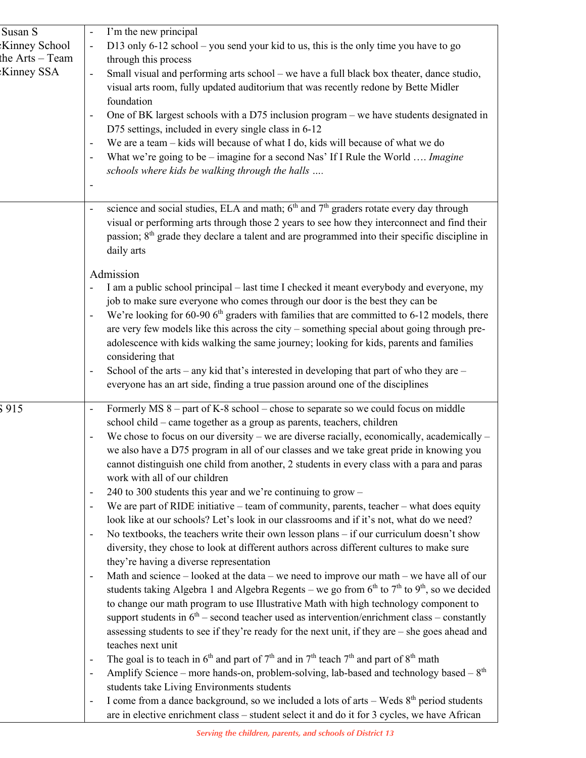| I'm the new principal<br>D13 only 6-12 school - you send your kid to us, this is the only time you have to go<br>$\blacksquare$<br>through this process<br>Small visual and performing arts school – we have a full black box theater, dance studio,<br>$\qquad \qquad -$<br>visual arts room, fully updated auditorium that was recently redone by Bette Midler<br>foundation<br>One of BK largest schools with a D75 inclusion program – we have students designated in<br>D75 settings, included in every single class in 6-12<br>We are a team - kids will because of what I do, kids will because of what we do<br>$\qquad \qquad \blacksquare$<br>What we're going to be – imagine for a second Nas' If I Rule the World  Imagine<br>schools where kids be walking through the halls                                                                                                                                                                                                                                                                                                                                                                                                                                                                                                                                                                                                                                                                                                                                                                                                                                                                                                                                                                                                                 |
|------------------------------------------------------------------------------------------------------------------------------------------------------------------------------------------------------------------------------------------------------------------------------------------------------------------------------------------------------------------------------------------------------------------------------------------------------------------------------------------------------------------------------------------------------------------------------------------------------------------------------------------------------------------------------------------------------------------------------------------------------------------------------------------------------------------------------------------------------------------------------------------------------------------------------------------------------------------------------------------------------------------------------------------------------------------------------------------------------------------------------------------------------------------------------------------------------------------------------------------------------------------------------------------------------------------------------------------------------------------------------------------------------------------------------------------------------------------------------------------------------------------------------------------------------------------------------------------------------------------------------------------------------------------------------------------------------------------------------------------------------------------------------------------------------------|
| science and social studies, ELA and math; $6th$ and $7th$ graders rotate every day through<br>$\qquad \qquad \blacksquare$<br>visual or performing arts through those 2 years to see how they interconnect and find their<br>passion; $8th$ grade they declare a talent and are programmed into their specific discipline in<br>daily arts                                                                                                                                                                                                                                                                                                                                                                                                                                                                                                                                                                                                                                                                                                                                                                                                                                                                                                                                                                                                                                                                                                                                                                                                                                                                                                                                                                                                                                                                 |
| Admission<br>I am a public school principal – last time I checked it meant everybody and everyone, my<br>job to make sure everyone who comes through our door is the best they can be<br>We're looking for 60-90 6 <sup>th</sup> graders with families that are committed to 6-12 models, there<br>are very few models like this across the city – something special about going through pre-<br>adolescence with kids walking the same journey; looking for kids, parents and families<br>considering that<br>School of the arts – any kid that's interested in developing that part of who they are –<br>-<br>everyone has an art side, finding a true passion around one of the disciplines                                                                                                                                                                                                                                                                                                                                                                                                                                                                                                                                                                                                                                                                                                                                                                                                                                                                                                                                                                                                                                                                                                             |
| Formerly MS $8$ – part of K-8 school – chose to separate so we could focus on middle<br>$\overline{\phantom{0}}$<br>school child - came together as a group as parents, teachers, children<br>We chose to focus on our diversity – we are diverse racially, economically, academically –<br>we also have a D75 program in all of our classes and we take great pride in knowing you<br>cannot distinguish one child from another, 2 students in every class with a para and paras<br>work with all of our children<br>240 to 300 students this year and we're continuing to grow -<br>$\overline{\phantom{0}}$<br>We are part of RIDE initiative - team of community, parents, teacher - what does equity<br>look like at our schools? Let's look in our classrooms and if it's not, what do we need?<br>No textbooks, the teachers write their own lesson plans - if our curriculum doesn't show<br>$\qquad \qquad \blacksquare$<br>diversity, they chose to look at different authors across different cultures to make sure<br>they're having a diverse representation<br>Math and science - looked at the data - we need to improve our math - we have all of our<br>students taking Algebra 1 and Algebra Regents - we go from $6th$ to $7th$ to $9th$ , so we decided<br>to change our math program to use Illustrative Math with high technology component to<br>support students in $6th$ – second teacher used as intervention/enrichment class – constantly<br>assessing students to see if they're ready for the next unit, if they are - she goes ahead and<br>teaches next unit<br>The goal is to teach in $6^{th}$ and part of $7^{th}$ and in $7^{th}$ teach $7^{th}$ and part of $8^{th}$ math<br>Amplify Science – more hands-on, problem-solving, lab-based and technology based – $8th$ |
|                                                                                                                                                                                                                                                                                                                                                                                                                                                                                                                                                                                                                                                                                                                                                                                                                                                                                                                                                                                                                                                                                                                                                                                                                                                                                                                                                                                                                                                                                                                                                                                                                                                                                                                                                                                                            |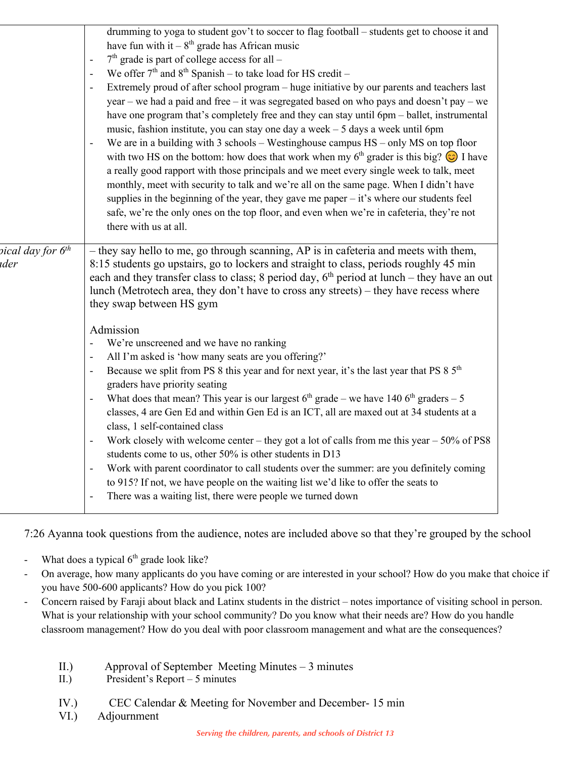| drumming to yoga to student gov't to soccer to flag football - students get to choose it and<br>have fun with it $-8^{th}$ grade has African music<br>$7th$ grade is part of college access for all -<br>We offer $7th$ and $8th$ Spanish – to take load for HS credit –<br>Extremely proud of after school program - huge initiative by our parents and teachers last<br>year – we had a paid and free – it was segregated based on who pays and doesn't pay – we<br>have one program that's completely free and they can stay until 6pm – ballet, instrumental<br>music, fashion institute, you can stay one day a week - 5 days a week until 6pm<br>We are in a building with $3$ schools – Westinghouse campus $HS - only MS$ on top floor<br>with two HS on the bottom: how does that work when my $6th$ grader is this big? $\bigodot$ I have<br>a really good rapport with those principals and we meet every single week to talk, meet<br>monthly, meet with security to talk and we're all on the same page. When I didn't have<br>supplies in the beginning of the year, they gave me paper $-$ it's where our students feel<br>safe, we're the only ones on the top floor, and even when we're in cafeteria, they're not<br>there with us at all.                           |
|----------------------------------------------------------------------------------------------------------------------------------------------------------------------------------------------------------------------------------------------------------------------------------------------------------------------------------------------------------------------------------------------------------------------------------------------------------------------------------------------------------------------------------------------------------------------------------------------------------------------------------------------------------------------------------------------------------------------------------------------------------------------------------------------------------------------------------------------------------------------------------------------------------------------------------------------------------------------------------------------------------------------------------------------------------------------------------------------------------------------------------------------------------------------------------------------------------------------------------------------------------------------------------------|
| - they say hello to me, go through scanning, AP is in cafeteria and meets with them,<br>8:15 students go upstairs, go to lockers and straight to class, periods roughly 45 min<br>each and they transfer class to class; 8 period day, $6th$ period at lunch – they have an out<br>lunch (Metrotech area, they don't have to cross any streets) - they have recess where<br>they swap between HS gym<br>Admission<br>We're unscreened and we have no ranking<br>All I'm asked is 'how many seats are you offering?'<br>Because we split from PS 8 this year and for next year, it's the last year that PS 8 $5th$<br>graders have priority seating<br>What does that mean? This year is our largest $6th$ grade – we have 140 $6th$ graders – 5<br>classes, 4 are Gen Ed and within Gen Ed is an ICT, all are maxed out at 34 students at a<br>class, 1 self-contained class<br>Work closely with welcome center – they got a lot of calls from me this year $-50\%$ of PS8<br>students come to us, other 50% is other students in D13<br>Work with parent coordinator to call students over the summer: are you definitely coming<br>to 915? If not, we have people on the waiting list we'd like to offer the seats to<br>There was a waiting list, there were people we turned down |
|                                                                                                                                                                                                                                                                                                                                                                                                                                                                                                                                                                                                                                                                                                                                                                                                                                                                                                                                                                                                                                                                                                                                                                                                                                                                                        |

7:26 Ayanna took questions from the audience, notes are included above so that they're grouped by the school

- What does a typical  $6<sup>th</sup>$  grade look like?
- On average, how many applicants do you have coming or are interested in your school? How do you make that choice if you have 500-600 applicants? How do you pick 100?
- Concern raised by Faraji about black and Latinx students in the district notes importance of visiting school in person. What is your relationship with your school community? Do you know what their needs are? How do you handle classroom management? How do you deal with poor classroom management and what are the consequences?
	- II.) Approval of September Meeting Minutes 3 minutes
	- II.) President's Report 5 minutes
	- IV.) CEC Calendar & Meeting for November and December- 15 min
	- VI.) Adjournment